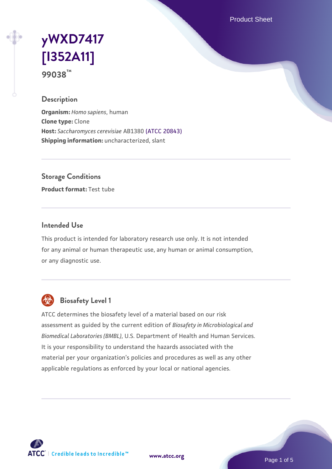Product Sheet

# **[yWXD7417](https://www.atcc.org/products/99038) [\[I352A11\]](https://www.atcc.org/products/99038) 99038™**

## **Description**

**Organism:** *Homo sapiens*, human **Clone type:** Clone **Host:** *Saccharomyces cerevisiae* AB1380 [\(ATCC 20843\)](https://www.atcc.org/products/20843) **Shipping information:** uncharacterized, slant

**Storage Conditions**

**Product format:** Test tube

# **Intended Use**

This product is intended for laboratory research use only. It is not intended for any animal or human therapeutic use, any human or animal consumption, or any diagnostic use.



# **Biosafety Level 1**

ATCC determines the biosafety level of a material based on our risk assessment as guided by the current edition of *Biosafety in Microbiological and Biomedical Laboratories (BMBL)*, U.S. Department of Health and Human Services. It is your responsibility to understand the hazards associated with the material per your organization's policies and procedures as well as any other applicable regulations as enforced by your local or national agencies.



**[www.atcc.org](http://www.atcc.org)**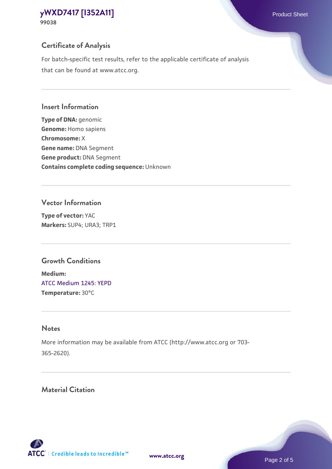# **Certificate of Analysis**

For batch-specific test results, refer to the applicable certificate of analysis that can be found at www.atcc.org.

#### **Insert Information**

**Type of DNA:** genomic **Genome:** Homo sapiens **Chromosome:** X **Gene name:** DNA Segment **Gene product:** DNA Segment **Contains complete coding sequence:** Unknown

#### **Vector Information**

**Type of vector:** YAC **Markers:** SUP4; URA3; TRP1

# **Growth Conditions**

**Medium:**  [ATCC Medium 1245: YEPD](https://www.atcc.org/-/media/product-assets/documents/microbial-media-formulations/1/2/4/5/atcc-medium-1245.pdf?rev=705ca55d1b6f490a808a965d5c072196) **Temperature:** 30°C

# **Notes**

More information may be available from ATCC (http://www.atcc.org or 703- 365-2620).

# **Material Citation**

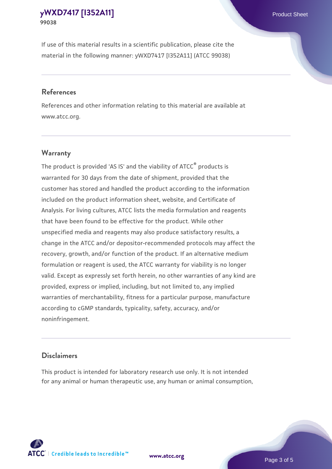If use of this material results in a scientific publication, please cite the material in the following manner: yWXD7417 [I352A11] (ATCC 99038)

#### **References**

References and other information relating to this material are available at www.atcc.org.

# **Warranty**

The product is provided 'AS IS' and the viability of  $ATCC<sup>®</sup>$  products is warranted for 30 days from the date of shipment, provided that the customer has stored and handled the product according to the information included on the product information sheet, website, and Certificate of Analysis. For living cultures, ATCC lists the media formulation and reagents that have been found to be effective for the product. While other unspecified media and reagents may also produce satisfactory results, a change in the ATCC and/or depositor-recommended protocols may affect the recovery, growth, and/or function of the product. If an alternative medium formulation or reagent is used, the ATCC warranty for viability is no longer valid. Except as expressly set forth herein, no other warranties of any kind are provided, express or implied, including, but not limited to, any implied warranties of merchantability, fitness for a particular purpose, manufacture according to cGMP standards, typicality, safety, accuracy, and/or noninfringement.

#### **Disclaimers**

This product is intended for laboratory research use only. It is not intended for any animal or human therapeutic use, any human or animal consumption,



**[www.atcc.org](http://www.atcc.org)**

Page 3 of 5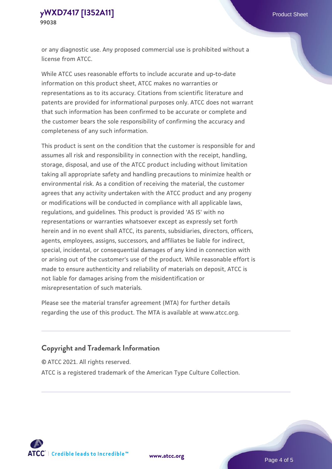or any diagnostic use. Any proposed commercial use is prohibited without a license from ATCC.

While ATCC uses reasonable efforts to include accurate and up-to-date information on this product sheet, ATCC makes no warranties or representations as to its accuracy. Citations from scientific literature and patents are provided for informational purposes only. ATCC does not warrant that such information has been confirmed to be accurate or complete and the customer bears the sole responsibility of confirming the accuracy and completeness of any such information.

This product is sent on the condition that the customer is responsible for and assumes all risk and responsibility in connection with the receipt, handling, storage, disposal, and use of the ATCC product including without limitation taking all appropriate safety and handling precautions to minimize health or environmental risk. As a condition of receiving the material, the customer agrees that any activity undertaken with the ATCC product and any progeny or modifications will be conducted in compliance with all applicable laws, regulations, and guidelines. This product is provided 'AS IS' with no representations or warranties whatsoever except as expressly set forth herein and in no event shall ATCC, its parents, subsidiaries, directors, officers, agents, employees, assigns, successors, and affiliates be liable for indirect, special, incidental, or consequential damages of any kind in connection with or arising out of the customer's use of the product. While reasonable effort is made to ensure authenticity and reliability of materials on deposit, ATCC is not liable for damages arising from the misidentification or misrepresentation of such materials.

Please see the material transfer agreement (MTA) for further details regarding the use of this product. The MTA is available at www.atcc.org.

# **Copyright and Trademark Information**

© ATCC 2021. All rights reserved.

ATCC is a registered trademark of the American Type Culture Collection.



**[www.atcc.org](http://www.atcc.org)**

Page 4 of 5